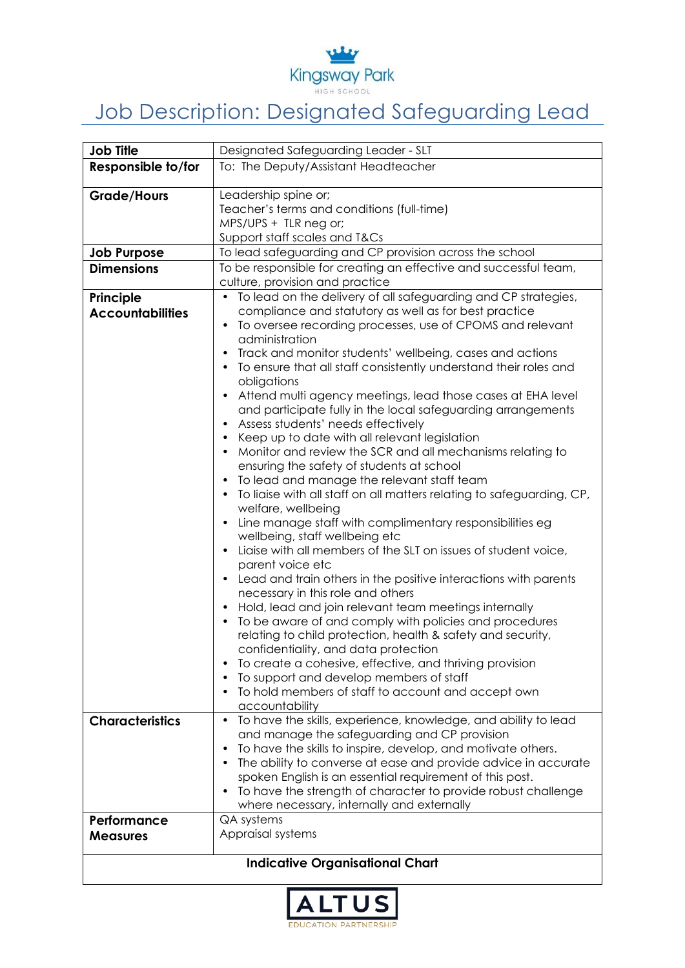

## Job Description: Designated Safeguarding Lead

| <b>Job Title</b>        | Designated Safeguarding Leader - SLT                                                                                             |
|-------------------------|----------------------------------------------------------------------------------------------------------------------------------|
| Responsible to/for      | To: The Deputy/Assistant Headteacher                                                                                             |
|                         | Leadership spine or;                                                                                                             |
| <b>Grade/Hours</b>      | Teacher's terms and conditions (full-time)                                                                                       |
|                         | MPS/UPS + TLR neg or;                                                                                                            |
|                         | Support staff scales and T&Cs                                                                                                    |
| <b>Job Purpose</b>      | To lead safeguarding and CP provision across the school                                                                          |
| <b>Dimensions</b>       | To be responsible for creating an effective and successful team,<br>culture, provision and practice                              |
| Principle               | To lead on the delivery of all safeguarding and CP strategies,                                                                   |
| <b>Accountabilities</b> | compliance and statutory as well as for best practice                                                                            |
|                         | To oversee recording processes, use of CPOMS and relevant                                                                        |
|                         | administration                                                                                                                   |
|                         | Track and monitor students' wellbeing, cases and actions<br>$\bullet$                                                            |
|                         | To ensure that all staff consistently understand their roles and                                                                 |
|                         | obligations                                                                                                                      |
|                         | Attend multi agency meetings, lead those cases at EHA level<br>$\bullet$                                                         |
|                         | and participate fully in the local safeguarding arrangements                                                                     |
|                         | Assess students' needs effectively<br>$\bullet$                                                                                  |
|                         | Keep up to date with all relevant legislation<br>$\bullet$                                                                       |
|                         | Monitor and review the SCR and all mechanisms relating to                                                                        |
|                         | ensuring the safety of students at school                                                                                        |
|                         | To lead and manage the relevant staff team<br>To liaise with all staff on all matters relating to safeguarding, CP,<br>$\bullet$ |
|                         | welfare, wellbeing                                                                                                               |
|                         | Line manage staff with complimentary responsibilities eg<br>$\bullet$                                                            |
|                         | wellbeing, staff wellbeing etc                                                                                                   |
|                         | Ligise with all members of the SLT on issues of student voice,<br>$\bullet$                                                      |
|                         | parent voice etc                                                                                                                 |
|                         | Lead and train others in the positive interactions with parents<br>necessary in this role and others                             |
|                         | Hold, lead and join relevant team meetings internally<br>$\bullet$                                                               |
|                         | To be aware of and comply with policies and procedures<br>$\bullet$                                                              |
|                         | relating to child protection, health & safety and security,                                                                      |
|                         | confidentiality, and data protection                                                                                             |
|                         | To create a cohesive, effective, and thriving provision                                                                          |
|                         | To support and develop members of staff                                                                                          |
|                         | To hold members of staff to account and accept own<br>accountability                                                             |
| <b>Characteristics</b>  | To have the skills, experience, knowledge, and ability to lead<br>$\bullet$                                                      |
|                         | and manage the safeguarding and CP provision                                                                                     |
|                         | To have the skills to inspire, develop, and motivate others.                                                                     |
|                         | The ability to converse at ease and provide advice in accurate                                                                   |
|                         | spoken English is an essential requirement of this post.                                                                         |
|                         | To have the strength of character to provide robust challenge<br>$\bullet$                                                       |
|                         | where necessary, internally and externally                                                                                       |
| Performance             | QA systems                                                                                                                       |
| <b>Measures</b>         | Appraisal systems                                                                                                                |
|                         | <b>Indicative Organisational Chart</b>                                                                                           |
|                         |                                                                                                                                  |